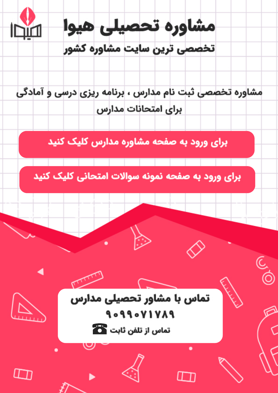

مشاوره تخصصی ثبت نام مدارس ، برنامه ریزی درسی و آمادگی براى امتحانات مدارس

برای ورود به صفحه مشاوره مدارس کلیک کنید

برای ورود به صفحه نمونه سوالات امتحانی کلیک کنید



90990VIVA9 تماس از تلفن ثابت ها

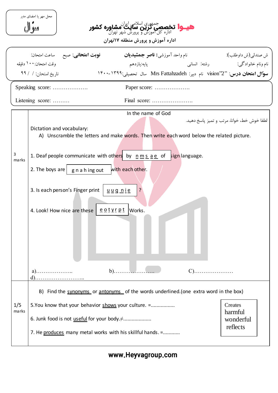|            | محل مهر یا امضای مدِر<br>سو ال<br><b>هیـ وا تخصصتی تُزین سلامی ایران شاوره کشور</b><br><b>هیـ وا تخصصی تُزین سایت</b> مشاوره <b>کشور</b>                                                                                                                                                                                                                                                                                                                           |  |  |  |  |  |
|------------|--------------------------------------------------------------------------------------------------------------------------------------------------------------------------------------------------------------------------------------------------------------------------------------------------------------------------------------------------------------------------------------------------------------------------------------------------------------------|--|--|--|--|--|
|            | اداره آموزش و پرورش منطقه ۱۷تهران                                                                                                                                                                                                                                                                                                                                                                                                                                  |  |  |  |  |  |
|            | <b>نوبت امتحانی</b> : صبح مساعت امتحان:<br>نام واحد آموزشي <b>: ناصو جمشيديان</b><br>ش صندلي(ش داوطلب):<br>وقت امتحان: • • \ دقيقه<br>تاريخ امتحان: / / ٩٩<br><b>سوَّال امتحان درس</b> : "2"vision نام دبیر: Mrs Fattahzadeh سال تحصیلی: <sup>۱۴۰</sup> ۰-۱۴۰۰                                                                                                                                                                                                     |  |  |  |  |  |
|            | Speaking score:<br>Paper score:<br>Final score:<br>Listening score:                                                                                                                                                                                                                                                                                                                                                                                                |  |  |  |  |  |
| 3<br>marks | In the name of God<br>لطفا خوش خط، خوانا، مرتب و تميز پاسخ دهيد.<br>Dictation and vocabulary:<br>A) Unscramble the letters and make words. Then write each word below the related picture.<br>1. Deaf people communicate with others by $n \leq n \leq a \leq o$ of sign language.<br>2. The boys are $ $ g n a h ing out<br>with each other.<br>?<br>3. Is each person's Finger print<br><u>uugnie</u><br><u>eotyrpt</u><br>Works.<br>4. Look! How nice are these |  |  |  |  |  |
| 1/5        | $C)$<br>$b)$<br>$a)$<br>B) Find the synonyms or antonyms of the words underlined. (one extra word in the box)<br>5. You know that your behavior shows your culture. =<br>Creates                                                                                                                                                                                                                                                                                   |  |  |  |  |  |
| marks      | harmful<br>6. Junk food is not useful for your body. $\neq$<br>wonderful<br>reflects<br>7. He produces many metal works with his skillful hands. =                                                                                                                                                                                                                                                                                                                 |  |  |  |  |  |

www.Heyvagroup.com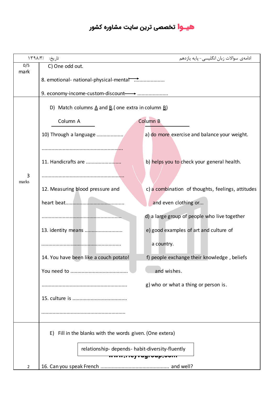## **هیــوا** تخصصی ترین سایت مشاوره کشور

| تاريخ: /١٣٩٨/٣ |                                                                                               | ادامەي سوالات زبان انگلیسی- پایه پازدهم           |  |  |
|----------------|-----------------------------------------------------------------------------------------------|---------------------------------------------------|--|--|
| 0/5<br>mark    | C) One odd out.                                                                               |                                                   |  |  |
|                | 8. emotional- national-physical-mental memorital continuous.                                  |                                                   |  |  |
|                |                                                                                               |                                                   |  |  |
|                | D) Match columns $\underline{A}$ and $\underline{B}$ . (one extra in column $\underline{B}$ ) |                                                   |  |  |
|                | Column A                                                                                      | Column B                                          |  |  |
|                | 10) Through a language                                                                        | a) do more exercise and balance your weight.      |  |  |
|                |                                                                                               | b) helps you to check your general health.        |  |  |
|                |                                                                                               |                                                   |  |  |
| 3<br>marks     |                                                                                               |                                                   |  |  |
|                | 12. Measuring blood pressure and                                                              | c) a combination of thoughts, feelings, attitudes |  |  |
|                |                                                                                               | and even clothing or                              |  |  |
|                |                                                                                               | d) a large group of people who live together      |  |  |
|                |                                                                                               | e) good examples of art and culture of            |  |  |
|                |                                                                                               | a country.                                        |  |  |
|                | 14. You have been like a couch potato!                                                        | f) people exchange their knowledge, beliefs       |  |  |
|                | You need to                                                                                   | and wishes.                                       |  |  |
|                |                                                                                               | g) who or what a thing or person is.              |  |  |
|                |                                                                                               |                                                   |  |  |
|                |                                                                                               |                                                   |  |  |
|                | E) Fill in the blanks with the words given. (One extera)                                      |                                                   |  |  |
|                |                                                                                               |                                                   |  |  |
|                | relationship- depends- habit-diversity-fluently<br>m <del>,noj ragroup,oon</del>              |                                                   |  |  |
| 2              |                                                                                               |                                                   |  |  |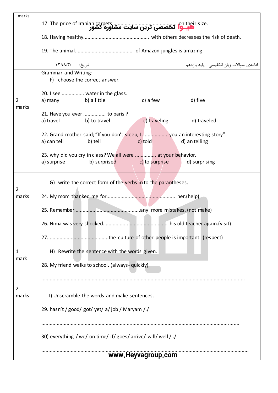| marks                   |                                                                                                                                |  |  |
|-------------------------|--------------------------------------------------------------------------------------------------------------------------------|--|--|
|                         | .m their size تخصصی ترین سایت مشاوره کشور The price of Iranian carpets                                                         |  |  |
|                         |                                                                                                                                |  |  |
|                         |                                                                                                                                |  |  |
|                         | تاريخ: /١٣٩٨/٣<br>ادامەي سوالات زبان انگلیسی – پایه پازدهم                                                                     |  |  |
| $\overline{2}$          | <b>Grammar and Writing:</b><br>F) choose the correct answer.                                                                   |  |  |
|                         | 20. I see  water in the glass.<br>b) a little<br>c) a few<br>d) five<br>a) many                                                |  |  |
| marks                   | 21. Have you ever  to paris ?<br>c) traveling<br>a) travel<br>b) to travel<br>d) traveled                                      |  |  |
|                         | a) can tell<br>b) tell<br>c) told<br>d) an telling                                                                             |  |  |
|                         | 23. why did you cry in class? We all were  at your behavior.<br>a) surprise<br>b) surprised<br>c) to surprise<br>d) surprising |  |  |
| $\overline{2}$          | G) write the correct form of the verbs in to the parantheses.                                                                  |  |  |
| marks                   |                                                                                                                                |  |  |
|                         |                                                                                                                                |  |  |
|                         |                                                                                                                                |  |  |
|                         |                                                                                                                                |  |  |
| 1<br>mark               | H) Rewrite the sentence with the words given.                                                                                  |  |  |
|                         | 28. My friend walks to school. (always-quickly)                                                                                |  |  |
|                         |                                                                                                                                |  |  |
| $\overline{2}$<br>marks | I) Unscramble the words and make sentences.                                                                                    |  |  |
|                         | 29. hasn't / good/ got/ yet/ a/ job / Maryam /./                                                                               |  |  |
|                         |                                                                                                                                |  |  |
|                         | 30) everything / we/ on time/ if/ goes/ arrive/ will/ well / ./                                                                |  |  |
|                         | www.Heyvagroup.com                                                                                                             |  |  |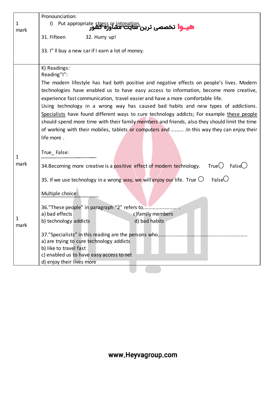|      | Pronounciation:                                                                                                            |
|------|----------------------------------------------------------------------------------------------------------------------------|
| 1    | $\vert$<br>Put appropriate <u>stress</u> or intonation.<br><b>هیــوا تخصصی ترین <del>سایت مش</del>او<del>ره گش</del>ور</b> |
| mark |                                                                                                                            |
|      | 31. Fifteen<br>32. Hurry up!                                                                                               |
|      | 33. I" Il buy a new car if I earn a lot of money.                                                                          |
|      |                                                                                                                            |
|      | K) Readings:                                                                                                               |
|      | Reading"I":                                                                                                                |
|      | The modern lifestyle has had both positive and negative effects on people's lives. Modern                                  |
|      | technologies have enabled us to have easy access to information, become more creative,                                     |
|      | experience fast communication, travel easier and have a more comfortable life.                                             |
|      | Using technology in a wrong way has caused bad habits and new types of addictions.                                         |
|      | Specialists have found different ways to cure technology addicts; For example these people                                 |
|      | should spend more time with their family members and friends, also they should limit the time                              |
|      | of working with their mobiles, tablets or computers and  In this way they can enjoy their                                  |
|      | life more.                                                                                                                 |
|      |                                                                                                                            |
| 1    | True False:                                                                                                                |
| mark |                                                                                                                            |
|      | True $\bigcirc$<br>False $()$<br>34. Becoming more creative is a positive effect of modern technology.                     |
|      | False $\cup$<br>35. If we use technology in a wrong way, we will enjoy our life. True $\bigcirc$                           |
|      | Multiple choice:                                                                                                           |
|      |                                                                                                                            |
|      |                                                                                                                            |
|      | a) bad effects<br>c) family members                                                                                        |
| 1    | b) technology addicts<br>d) bad habits                                                                                     |
| mark |                                                                                                                            |
|      | 37."Specialists" in this reading are the persons who                                                                       |
|      | a) are trying to cure technology addicts                                                                                   |
|      | b) like to travel fast<br>c) enabled us to have easy access to net                                                         |
|      | d) enjoy their lives more                                                                                                  |
|      |                                                                                                                            |